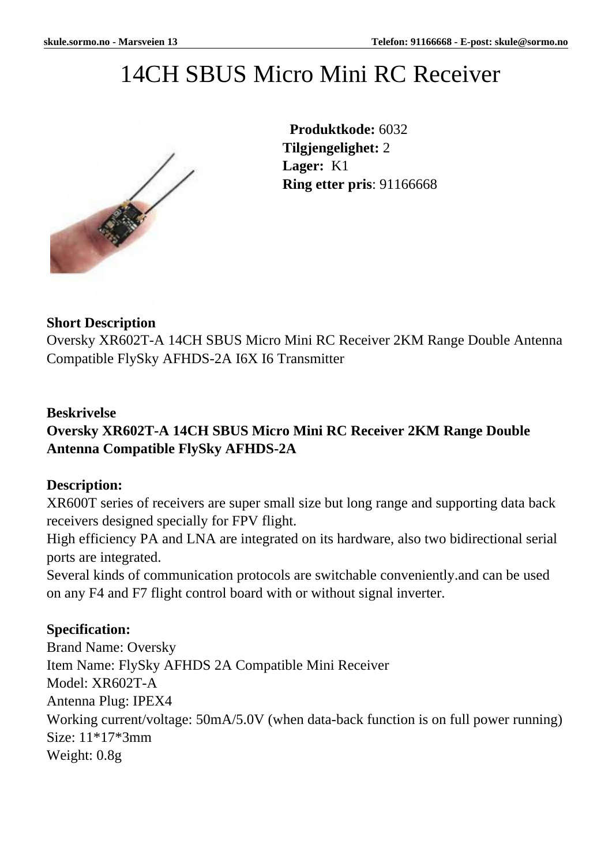# 14CH SBUS Micro Mini RC Receiver



 **Produktkode:** 6032 **Tilgjengelighet:** 2 **Lager:** K1 **Ring etter pris**: 91166668

#### **Short Description**

Oversky XR602T-A 14CH SBUS Micro Mini RC Receiver 2KM Range Double Antenna Compatible FlySky AFHDS-2A I6X I6 Transmitter

#### **Beskrivelse**

## **Oversky XR602T-A 14CH SBUS Micro Mini RC Receiver 2KM Range Double Antenna Compatible FlySky AFHDS-2A**

#### **Description:**

XR600T series of receivers are super small size but long range and supporting data back receivers designed specially for FPV flight.

High efficiency PA and LNA are integrated on its hardware, also two bidirectional serial ports are integrated.

Several kinds of communication protocols are switchable conveniently.and can be used on any F4 and F7 flight control board with or without signal inverter.

#### **Specification:**

Brand Name: Oversky Item Name: FlySky AFHDS 2A Compatible Mini Receiver Model: XR602T-A Antenna Plug: IPEX4 Working current/voltage: 50mA/5.0V (when data-back function is on full power running) Size: 11\*17\*3mm Weight: 0.8g